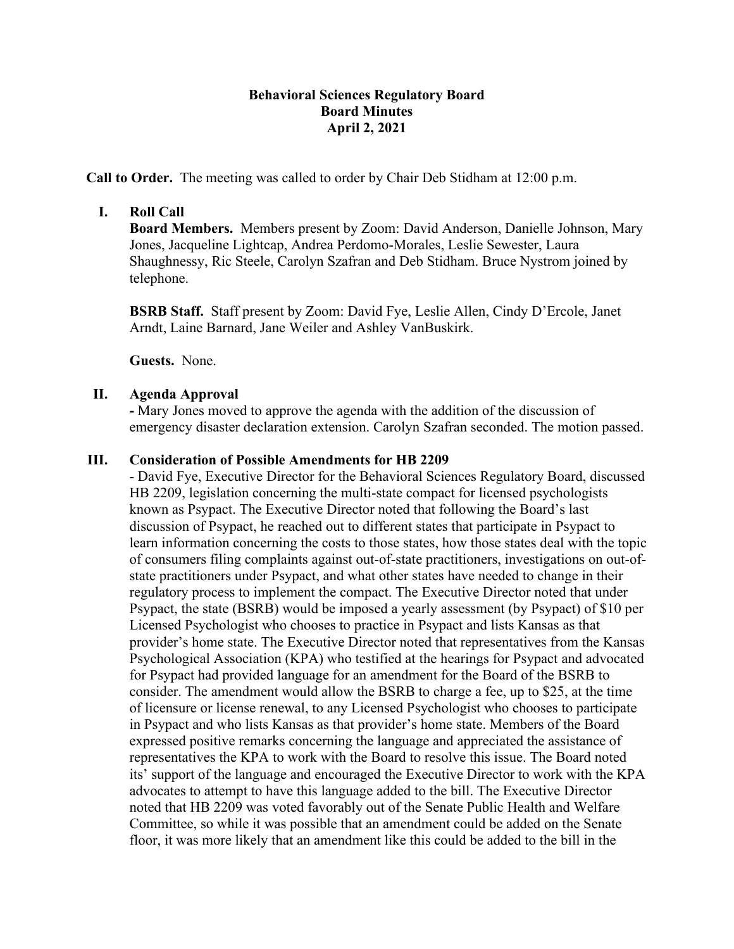# **Behavioral Sciences Regulatory Board Board Minutes April 2, 2021**

**Call to Order.** The meeting was called to order by Chair Deb Stidham at 12:00 p.m.

## **I. Roll Call**

**Board Members.** Members present by Zoom: David Anderson, Danielle Johnson, Mary Jones, Jacqueline Lightcap, Andrea Perdomo-Morales, Leslie Sewester, Laura Shaughnessy, Ric Steele, Carolyn Szafran and Deb Stidham. Bruce Nystrom joined by telephone.

**BSRB Staff.** Staff present by Zoom: David Fye, Leslie Allen, Cindy D'Ercole, Janet Arndt, Laine Barnard, Jane Weiler and Ashley VanBuskirk.

**Guests.** None.

### **II. Agenda Approval**

**-** Mary Jones moved to approve the agenda with the addition of the discussion of emergency disaster declaration extension. Carolyn Szafran seconded. The motion passed.

#### **III. Consideration of Possible Amendments for HB 2209**

- David Fye, Executive Director for the Behavioral Sciences Regulatory Board, discussed HB 2209, legislation concerning the multi-state compact for licensed psychologists known as Psypact. The Executive Director noted that following the Board's last discussion of Psypact, he reached out to different states that participate in Psypact to learn information concerning the costs to those states, how those states deal with the topic of consumers filing complaints against out-of-state practitioners, investigations on out-ofstate practitioners under Psypact, and what other states have needed to change in their regulatory process to implement the compact. The Executive Director noted that under Psypact, the state (BSRB) would be imposed a yearly assessment (by Psypact) of \$10 per Licensed Psychologist who chooses to practice in Psypact and lists Kansas as that provider's home state. The Executive Director noted that representatives from the Kansas Psychological Association (KPA) who testified at the hearings for Psypact and advocated for Psypact had provided language for an amendment for the Board of the BSRB to consider. The amendment would allow the BSRB to charge a fee, up to \$25, at the time of licensure or license renewal, to any Licensed Psychologist who chooses to participate in Psypact and who lists Kansas as that provider's home state. Members of the Board expressed positive remarks concerning the language and appreciated the assistance of representatives the KPA to work with the Board to resolve this issue. The Board noted its' support of the language and encouraged the Executive Director to work with the KPA advocates to attempt to have this language added to the bill. The Executive Director noted that HB 2209 was voted favorably out of the Senate Public Health and Welfare Committee, so while it was possible that an amendment could be added on the Senate floor, it was more likely that an amendment like this could be added to the bill in the